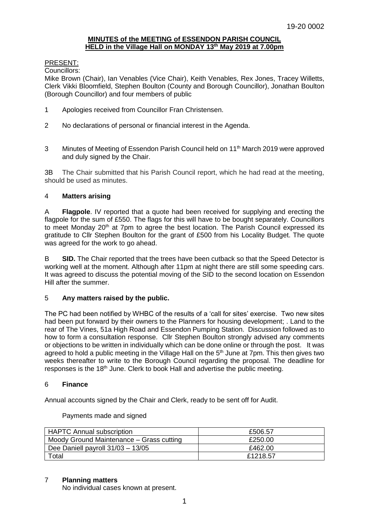## **MINUTES of the MEETING of ESSENDON PARISH COUNCIL HELD in the Village Hall on MONDAY 13th May 2019 at 7.00pm**

## PRESENT:

Councillors:

Mike Brown (Chair), Ian Venables (Vice Chair), Keith Venables, Rex Jones, Tracey Willetts, Clerk Vikki Bloomfield, Stephen Boulton (County and Borough Councillor), Jonathan Boulton (Borough Councillor) and four members of public

- 1 Apologies received from Councillor Fran Christensen.
- 2 No declarations of personal or financial interest in the Agenda.
- 3 Minutes of Meeting of Essendon Parish Council held on 11<sup>th</sup> March 2019 were approved and duly signed by the Chair.

3B The Chair submitted that his Parish Council report, which he had read at the meeting, should be used as minutes.

## 4 **Matters arising**

A **Flagpole**. IV reported that a quote had been received for supplying and erecting the flagpole for the sum of £550. The flags for this will have to be bought separately. Councillors to meet Monday 20<sup>th</sup> at 7pm to agree the best location. The Parish Council expressed its gratitude to Cllr Stephen Boulton for the grant of £500 from his Locality Budget. The quote was agreed for the work to go ahead.

B **SID.** The Chair reported that the trees have been cutback so that the Speed Detector is working well at the moment. Although after 11pm at night there are still some speeding cars. It was agreed to discuss the potential moving of the SID to the second location on Essendon Hill after the summer.

# 5 **Any matters raised by the public.**

The PC had been notified by WHBC of the results of a 'call for sites' exercise. Two new sites had been put forward by their owners to the Planners for housing development; . Land to the rear of The Vines, 51a High Road and Essendon Pumping Station. Discussion followed as to how to form a consultation response. Cllr Stephen Boulton strongly advised any comments or objections to be written in individually which can be done online or through the post. It was agreed to hold a public meeting in the Village Hall on the 5<sup>th</sup> June at 7pm. This then gives two weeks thereafter to write to the Borough Council regarding the proposal. The deadline for responses is the 18th June. Clerk to book Hall and advertise the public meeting.

#### 6 **Finance**

Annual accounts signed by the Chair and Clerk, ready to be sent off for Audit.

Payments made and signed

| <b>HAPTC Annual subscription</b>         | £506.57  |
|------------------------------------------|----------|
| Moody Ground Maintenance – Grass cutting | £250.00  |
| Dee Daniell payroll $31/03 - 13/05$      | £462.00  |
| $\tau$ otal                              | £1218.57 |

# 7 **Planning matters**

No individual cases known at present.